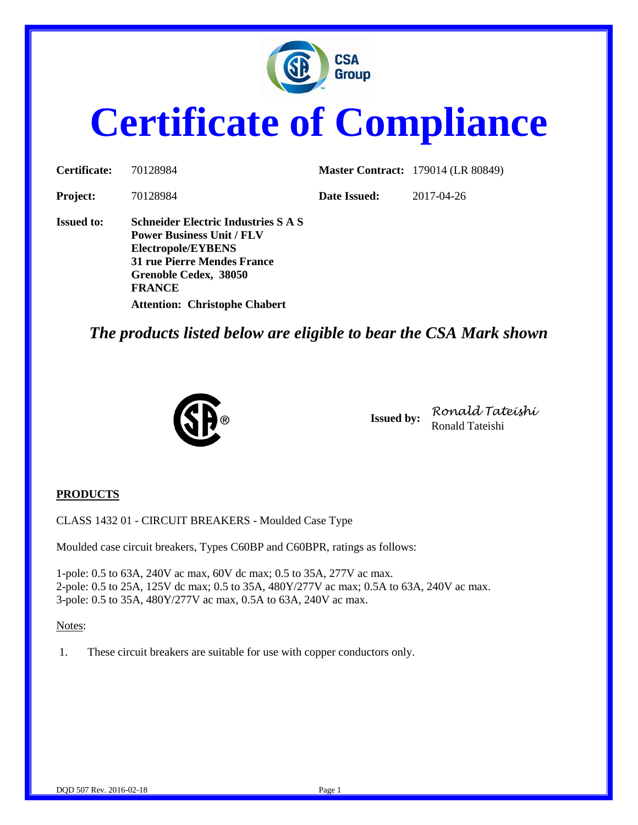

# **Certificate of Compliance**

| Certificate:      | 70128984                                                                                                                                                                                                              |              | <b>Master Contract:</b> 179014 (LR 80849) |
|-------------------|-----------------------------------------------------------------------------------------------------------------------------------------------------------------------------------------------------------------------|--------------|-------------------------------------------|
| <b>Project:</b>   | 70128984                                                                                                                                                                                                              | Date Issued: | 2017-04-26                                |
| <b>Issued to:</b> | <b>Schneider Electric Industries S A S</b><br><b>Power Business Unit / FLV</b><br>Electropole/EYBENS<br>31 rue Pierre Mendes France<br>Grenoble Cedex, 38050<br><b>FRANCE</b><br><b>Attention: Christophe Chabert</b> |              |                                           |

*The products listed below are eligible to bear the CSA Mark shown*



**Issued by:** *Ronald Tateishi* Ronald Tateishi

#### **PRODUCTS**

CLASS 1432 01 - CIRCUIT BREAKERS - Moulded Case Type

Moulded case circuit breakers, Types C60BP and C60BPR, ratings as follows:

1-pole: 0.5 to 63A, 240V ac max, 60V dc max; 0.5 to 35A, 277V ac max. 2-pole: 0.5 to 25A, 125V dc max; 0.5 to 35A, 480Y/277V ac max; 0.5A to 63A, 240V ac max. 3-pole: 0.5 to 35A, 480Y/277V ac max, 0.5A to 63A, 240V ac max.

#### Notes:

1. These circuit breakers are suitable for use with copper conductors only.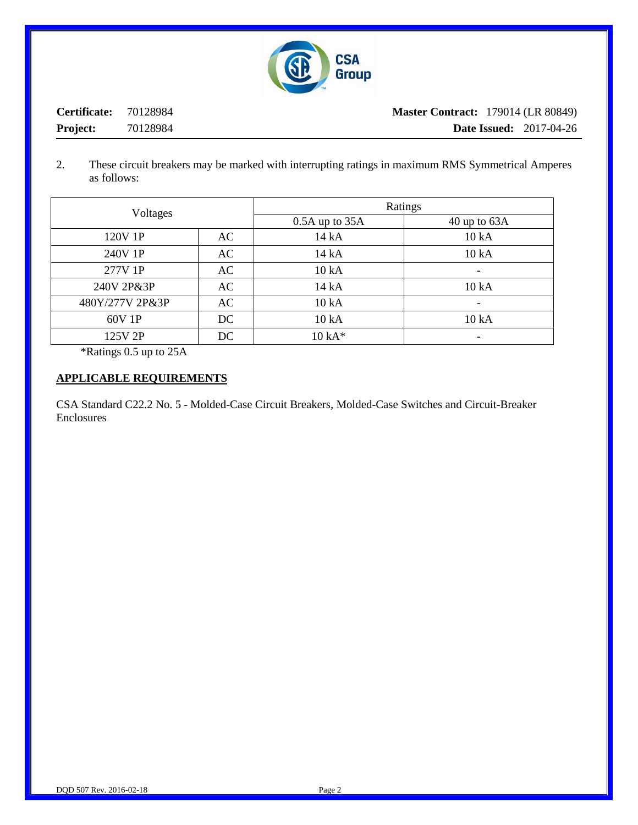

**Certificate:** 70128984 **Project:** 70128984 **Master Contract:** 179014 (LR 80849) **Date Issued:** 2017-04-26

2. These circuit breakers may be marked with interrupting ratings in maximum RMS Symmetrical Amperes as follows:

| Voltages        |    | Ratings            |                          |
|-----------------|----|--------------------|--------------------------|
|                 |    | $0.5A$ up to $35A$ | $40$ up to $63A$         |
| 120V 1P         | AC | 14 kA              | 10 kA                    |
| 240V 1P         | AC | 14 kA              | 10 kA                    |
| 277V 1P         | AC | 10 kA              |                          |
| 240V 2P&3P      | AC | 14 kA              | 10 kA                    |
| 480Y/277V 2P&3P | AC | 10 kA              | $\overline{\phantom{a}}$ |
| 60V 1P          | DC | 10 kA              | 10 kA                    |
| 125V 2P         | DC | $10 kA*$           |                          |

\*Ratings 0.5 up to 25A

#### **APPLICABLE REQUIREMENTS**

CSA Standard C22.2 No. 5 - Molded-Case Circuit Breakers, Molded-Case Switches and Circuit-Breaker Enclosures